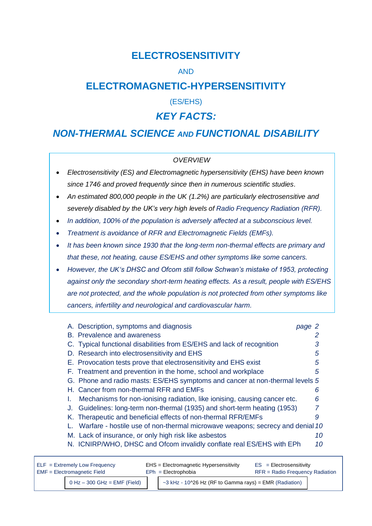# **ELECTROSENSITIVITY**

# AND

# **ELECTROMAGNETIC-HYPERSENSITIVITY**

(ES/EHS)

# *KEY FACTS:*

# *NON-THERMAL SCIENCE AND FUNCTIONAL DISABILITY*

## *OVERVIEW*

- *Electrosensitivity (ES) and Electromagnetic hypersensitivity (EHS) have been known since 1746 and proved frequently since then in numerous scientific studies.*
- *An estimated 800,000 people in the UK (1.2%) are particularly electrosensitive and severely disabled by the UK's very high levels of Radio Frequency Radiation (RFR).*
- *In addition, 100% of the population is adversely affected at a subconscious level.*
- *Treatment is avoidance of RFR and Electromagnetic Fields (EMFs).*
- *It has been known since 1930 that the long-term non-thermal effects are primary and that these, not heating, cause ES/EHS and other symptoms like some cancers.*
- *However, the UK's DHSC and Ofcom still follow Schwan's mistake of 1953, protecting against only the secondary short-term heating effects. As a result, people with ES/EHS are not protected, and the whole population is not protected from other symptoms like cancers, infertility and neurological and cardiovascular harm.*

| A. Description, symptoms and diagnosis                                        | page 2 |
|-------------------------------------------------------------------------------|--------|
| B. Prevalence and awareness                                                   |        |
| C. Typical functional disabilities from ES/EHS and lack of recognition        |        |
| D. Research into electrosensitivity and EHS                                   | 5      |
| E. Provocation tests prove that electrosensitivity and EHS exist              | 5      |
| F. Treatment and prevention in the home, school and workplace                 | 5      |
| G. Phone and radio masts: ES/EHS symptoms and cancer at non-thermal levels 5  |        |
| H. Cancer from non-thermal RFR and EMFs                                       | 6      |
| Mechanisms for non-ionising radiation, like ionising, causing cancer etc.     | 6      |
| Guidelines: long-term non-thermal (1935) and short-term heating (1953)<br>J.  |        |
| K. Therapeutic and beneficial effects of non-thermal RFR/EMFs                 | 9      |
| Warfare - hostile use of non-thermal microwave weapons; secrecy and denial 10 |        |
| M. Lack of insurance, or only high risk like asbestos                         | 10     |
| N. ICNIRP/WHO, DHSC and Ofcom invalidly conflate real ES/EHS with EPh         | 10     |

| $ELF = Extremely Low Frequency$ |                                  | EHS = Electromagnetic Hypersensitivity |                                                              | $ES = Electrosensitivity$       |  |
|---------------------------------|----------------------------------|----------------------------------------|--------------------------------------------------------------|---------------------------------|--|
| EMF = Electromagnetic Field     |                                  | $EPh = Electrophobia$                  |                                                              | RFR = Radio Frequency Radiation |  |
|                                 | $0$ Hz $-$ 300 GHz = EMF (Field) |                                        | $\sim$ 3 kHz - 10^26 Hz (RF to Gamma rays) = EMR (Radiation) |                                 |  |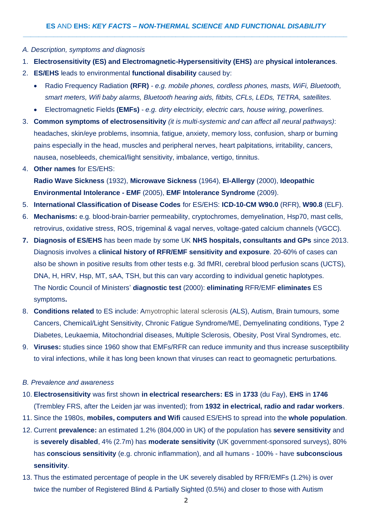- *A. Description, symptoms and diagnosis*
- 1. **Electrosensitivity (ES) and Electromagnetic-Hypersensitivity (EHS)** are **physical intolerances**.
- 2. **ES/EHS** leads to environmental **functional disability** caused by:
	- Radio Frequency Radiation **(RFR)** *- e.g. mobile phones, cordless phones, masts, WiFi, Bluetooth, smart meters, Wifi baby alarms, Bluetooth hearing aids, fitbits, CFLs, LEDs, TETRA, satellites.*
	- Electromagnetic Fields **(EMFs)** *- e.g. dirty electricity, electric cars, house wiring, powerlines.*
- 3. **Common symptoms of electrosensitivity** *(it is multi-systemic and can affect all neural pathways)*: headaches, skin/eye problems, insomnia, fatigue, anxiety, memory loss, confusion, sharp or burning pains especially in the head, muscles and peripheral nerves, heart palpitations, irritability, cancers, nausea, nosebleeds, chemical/light sensitivity, imbalance, vertigo, tinnitus.
- 4. **Other names** for ES/EHS: **Radio Wave Sickness** (1932), **Microwave Sickness** (1964), **El-Allergy** (2000), **Ideopathic Environmental Intolerance - EMF** (2005), **EMF Intolerance Syndrome** (2009).
- 5. **International Classification of Disease Codes** for ES/EHS: **ICD-10-CM W90.0** (RFR), **W90.8** (ELF).
- 6. **Mechanisms:** e.g. blood-brain-barrier permeability, cryptochromes, demyelination, Hsp70, mast cells, retrovirus, oxidative stress, ROS, trigeminal & vagal nerves, voltage-gated calcium channels (VGCC).
- **7. Diagnosis of ES/EHS** has been made by some UK **NHS hospitals, consultants and GPs** since 2013. Diagnosis involves a **clinical history of RFR/EMF sensitivity and exposure**. 20-60% of cases can also be shown in positive results from other tests e.g. 3d fMRI, cerebral blood perfusion scans (UCTS), DNA, H, HRV, Hsp, MT, sAA, TSH, but this can vary according to individual genetic haplotypes. The Nordic Council of Ministers' **diagnostic test** (2000): **eliminating** RFR/EMF **eliminates** ES symptoms**.**
- 8. **Conditions related** to ES include: Amyotrophic lateral sclerosis (ALS), Autism, Brain tumours, some Cancers, Chemical/Light Sensitivity, Chronic Fatigue Syndrome/ME, Demyelinating conditions, Type 2 Diabetes, Leukaemia, Mitochondrial diseases, Multiple Sclerosis, Obesity, Post Viral Syndromes, etc.
- 9. **Viruses:** studies since 1960 show that EMFs/RFR can reduce immunity and thus increase susceptibility to viral infections, while it has long been known that viruses can react to geomagnetic perturbations.
- *B. Prevalence and awareness*
- 10. **Electrosensitivity** was first shown **in electrical researchers: ES** in **1733** (du Fay), **EHS** in **1746** (Trembley FRS, after the Leiden jar was invented); from **1932 in electrical, radio and radar workers**.
- 11. Since the 1980s, **mobiles, computers and Wifi** caused ES/EHS to spread into the **whole population**.
- 12. Current **prevalence:** an estimated 1.2% (804,000 in UK) of the population has **severe sensitivity** and is **severely disabled**, 4% (2.7m) has **moderate sensitivity** (UK government-sponsored surveys), 80% has **conscious sensitivity** (e.g. chronic inflammation), and all humans - 100% - have **subconscious sensitivity**.
- 13. Thus the estimated percentage of people in the UK severely disabled by RFR/EMFs (1.2%) is over twice the number of Registered Blind & Partially Sighted (0.5%) and closer to those with Autism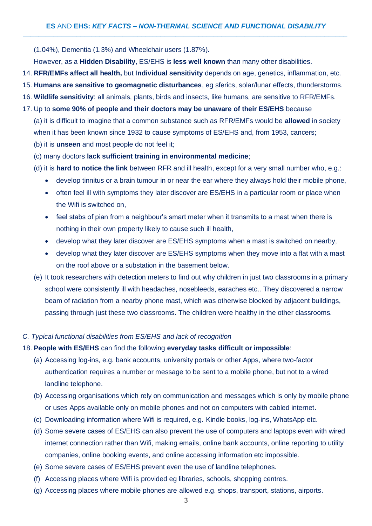(1.04%), Dementia (1.3%) and Wheelchair users (1.87%).

However, as a **Hidden Disability**, ES/EHS is **less well known** than many other disabilities.

- 14. **RFR/EMFs affect all health,** but I**ndividual sensitivity** depends on age, genetics, inflammation, etc.
- 15. **Humans are sensitive to geomagnetic disturbances**, eg sferics, solar/lunar effects, thunderstorms.
- 16. **Wildlife sensitivity**: all animals, plants, birds and insects, like humans, are sensitive to RFR/EMFs.
- 17. Up to **some 90% of people and their doctors may be unaware of their ES/EHS** because

(a) it is difficult to imagine that a common substance such as RFR/EMFs would be **allowed** in society when it has been known since 1932 to cause symptoms of ES/EHS and, from 1953, cancers;

- (b) it is **unseen** and most people do not feel it;
- (c) many doctors **lack sufficient training in environmental medicine**;
- (d) it is **hard to notice the link** between RFR and ill health, except for a very small number who, e.g.:
	- develop tinnitus or a brain tumour in or near the ear where they always hold their mobile phone,
	- often feel ill with symptoms they later discover are ES/EHS in a particular room or place when the Wifi is switched on,
	- feel stabs of pian from a neighbour's smart meter when it transmits to a mast when there is nothing in their own property likely to cause such ill health,
	- develop what they later discover are ES/EHS symptoms when a mast is switched on nearby,
	- develop what they later discover are ES/EHS symptoms when they move into a flat with a mast on the roof above or a substation in the basement below.
- (e) It took researchers with detection meters to find out why children in just two classrooms in a primary school were consistently ill with headaches, nosebleeds, earaches etc.. They discovered a narrow beam of radiation from a nearby phone mast, which was otherwise blocked by adjacent buildings, passing through just these two classrooms. The children were healthy in the other classrooms.

## *C. Typical functional disabilities from ES/EHS and lack of recognition*

### 18. **People with ES/EHS** can find the following **everyday tasks difficult or impossible**:

- (a) Accessing log-ins, e.g. bank accounts, university portals or other Apps, where two-factor authentication requires a number or message to be sent to a mobile phone, but not to a wired landline telephone.
- (b) Accessing organisations which rely on communication and messages which is only by mobile phone or uses Apps available only on mobile phones and not on computers with cabled internet.
- (c) Downloading information where Wifi is required, e.g. Kindle books, log-ins, WhatsApp etc.
- (d) Some severe cases of ES/EHS can also prevent the use of computers and laptops even with wired internet connection rather than Wifi, making emails, online bank accounts, online reporting to utility companies, online booking events, and online accessing information etc impossible.
- (e) Some severe cases of ES/EHS prevent even the use of landline telephones.
- (f) Accessing places where Wifi is provided eg libraries, schools, shopping centres.
- (g) Accessing places where mobile phones are allowed e.g. shops, transport, stations, airports.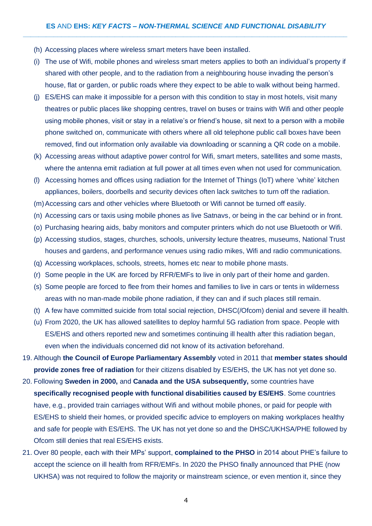- (h) Accessing places where wireless smart meters have been installed.
- (i) The use of Wifi, mobile phones and wireless smart meters applies to both an individual's property if shared with other people, and to the radiation from a neighbouring house invading the person's house, flat or garden, or public roads where they expect to be able to walk without being harmed.
- (j) ES/EHS can make it impossible for a person with this condition to stay in most hotels, visit many theatres or public places like shopping centres, travel on buses or trains with Wifi and other people using mobile phones, visit or stay in a relative's or friend's house, sit next to a person with a mobile phone switched on, communicate with others where all old telephone public call boxes have been removed, find out information only available via downloading or scanning a QR code on a mobile.
- (k) Accessing areas without adaptive power control for Wifi, smart meters, satellites and some masts, where the antenna emit radiation at full power at all times even when not used for communication.
- (l) Accessing homes and offices using radiation for the Internet of Things (IoT) where 'white' kitchen appliances, boilers, doorbells and security devices often lack switches to turn off the radiation.
- (m)Accessing cars and other vehicles where Bluetooth or Wifi cannot be turned off easily.
- (n) Accessing cars or taxis using mobile phones as live Satnavs, or being in the car behind or in front.
- (o) Purchasing hearing aids, baby monitors and computer printers which do not use Bluetooth or Wifi.
- (p) Accessing studios, stages, churches, schools, university lecture theatres, museums, National Trust houses and gardens, and performance venues using radio mikes, Wifi and radio communications.
- (q) Accessing workplaces, schools, streets, homes etc near to mobile phone masts.
- (r) Some people in the UK are forced by RFR/EMFs to live in only part of their home and garden.
- (s) Some people are forced to flee from their homes and families to live in cars or tents in wilderness areas with no man-made mobile phone radiation, if they can and if such places still remain.
- (t) A few have committed suicide from total social rejection, DHSC(/Ofcom) denial and severe ill health.
- (u) From 2020, the UK has allowed satellites to deploy harmful 5G radiation from space. People with ES/EHS and others reported new and sometimes continuing ill health after this radiation began, even when the individuals concerned did not know of its activation beforehand.
- 19. Although **the Council of Europe Parliamentary Assembly** voted in 2011 that **member states should provide zones free of radiation** for their citizens disabled by ES/EHS, the UK has not yet done so.
- 20. Following **Sweden in 2000,** and **Canada and the USA subsequently,** some countries have **specifically recognised people with functional disabilities caused by ES/EHS**. Some countries have, e.g., provided train carriages without Wifi and without mobile phones, or paid for people with ES/EHS to shield their homes, or provided specific advice to employers on making workplaces healthy and safe for people with ES/EHS. The UK has not yet done so and the DHSC/UKHSA/PHE followed by Ofcom still denies that real ES/EHS exists.
- 21. Over 80 people, each with their MPs' support, **complained to the PHSO** in 2014 about PHE's failure to accept the science on ill health from RFR/EMFs. In 2020 the PHSO finally announced that PHE (now UKHSA) was not required to follow the majority or mainstream science, or even mention it, since they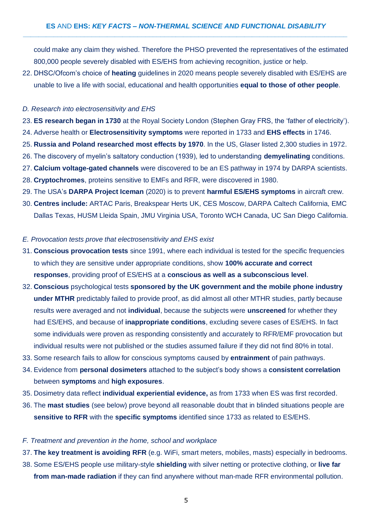could make any claim they wished. Therefore the PHSO prevented the representatives of the estimated 800,000 people severely disabled with ES/EHS from achieving recognition, justice or help.

22. DHSC/Ofcom's choice of **heating** guidelines in 2020 means people severely disabled with ES/EHS are unable to live a life with social, educational and health opportunities **equal to those of other people**.

#### *D. Research into electrosensitivity and EHS*

- 23. **ES research began in 1730** at the Royal Society London (Stephen Gray FRS, the 'father of electricity').
- 24. Adverse health or **Electrosensitivity symptoms** were reported in 1733 and **EHS effects** in 1746.
- 25. **Russia and Poland researched most effects by 1970**. In the US, Glaser listed 2,300 studies in 1972.
- 26. The discovery of myelin's saltatory conduction (1939), led to understanding **demyelinating** conditions.
- 27. **Calcium voltage-gated channels** were discovered to be an ES pathway in 1974 by DARPA scientists. 28. **Cryptochromes**, proteins sensitive to EMFs and RFR, were discovered in 1980.
- 29. The USA's **DARPA Project Iceman** (2020) is to prevent **harmful ES/EHS symptoms** in aircraft crew.
- 30. **Centres include:** ARTAC Paris, Breakspear Herts UK, CES Moscow, DARPA Caltech California, EMC Dallas Texas, HUSM Lleida Spain, JMU Virginia USA, Toronto WCH Canada, UC San Diego California.
- *E. Provocation tests prove that electrosensitivity and EHS exist*
- 31. **Conscious provocation tests** since 1991, where each individual is tested for the specific frequencies to which they are sensitive under appropriate conditions, show **100% accurate and correct responses**, providing proof of ES/EHS at a **conscious as well as a subconscious level**.
- 32. **Conscious** psychological tests **sponsored by the UK government and the mobile phone industry under MTHR** predictably failed to provide proof, as did almost all other MTHR studies, partly because results were averaged and not **individual**, because the subjects were **unscreened** for whether they had ES/EHS, and because of **inappropriate conditions**, excluding severe cases of ES/EHS. In fact some individuals were proven as responding consistently and accurately to RFR/EMF provocation but individual results were not published or the studies assumed failure if they did not find 80% in total.
- 33. Some research fails to allow for conscious symptoms caused by **entrainment** of pain pathways.
- 34. Evidence from **personal dosimeters** attached to the subject's body shows a **consistent correlation** between **symptoms** and **high exposures**.
- 35. Dosimetry data reflect **individual experiential evidence,** as from 1733 when ES was first recorded.
- 36. The **mast studies** (see below) prove beyond all reasonable doubt that in blinded situations people are **sensitive to RFR** with the **specific symptoms** identified since 1733 as related to ES/EHS.

## *F. Treatment and prevention in the home, school and workplace*

37. **The key treatment is avoiding RFR** (e.g. WiFi, smart meters, mobiles, masts) especially in bedrooms.

38. Some ES/EHS people use military-style **shielding** with silver netting or protective clothing, or **live far from man-made radiation** if they can find anywhere without man-made RFR environmental pollution.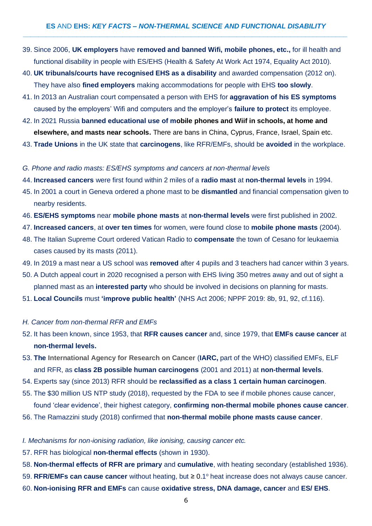- 39. Since 2006, **UK employers** have **removed and banned Wifi, mobile phones, etc.,** for ill health and functional disability in people with ES/EHS (Health & Safety At Work Act 1974, Equality Act 2010).
- 40. **UK tribunals/courts have recognised EHS as a disability** and awarded compensation (2012 on). They have also **fined employers** making accommodations for people with EHS **too slowly**.
- 41. In 2013 an Australian court compensated a person with EHS for **aggravation of his ES symptoms** caused by the employers' Wifi and computers and the employer's **failure to protect** its employee.
- 42. In 2021 Russia **banned educational use of mobile phones and Wiif in schools, at home and elsewhere, and masts near schools.** There are bans in China, Cyprus, France, Israel, Spain etc.
- 43. **Trade Unions** in the UK state that **carcinogens**, like RFR/EMFs, should be **avoided** in the workplace.
- *G. Phone and radio masts: ES/EHS symptoms and cancers at non-thermal levels*
- 44. **Increased cancers** were first found within 2 miles of a **radio mast** at **non-thermal levels** in 1994.
- 45. In 2001 a court in Geneva ordered a phone mast to be **dismantled** and financial compensation given to nearby residents.
- 46. **ES/EHS symptoms** near **mobile phone masts** at **non-thermal levels** were first published in 2002.
- 47. **Increased cancers**, at **over ten times** for women, were found close to **mobile phone masts** (2004).
- 48. The Italian Supreme Court ordered Vatican Radio to **compensate** the town of Cesano for leukaemia cases caused by its masts (2011).
- 49. In 2019 a mast near a US school was **removed** after 4 pupils and 3 teachers had cancer within 3 years.
- 50. A Dutch appeal court in 2020 recognised a person with EHS living 350 metres away and out of sight a planned mast as an **interested party** who should be involved in decisions on planning for masts.
- 51. **Local Councils** must **'improve public health'** (NHS Act 2006; NPPF 2019: 8b, 91, 92, cf.116).
- *H. Cancer from non-thermal RFR and EMFs*
- 52. It has been known, since 1953, that **RFR causes cancer** and, since 1979, that **EMFs cause cancer** at **non-thermal levels.**
- 53. **The International Agency for Research on Cancer** (**IARC,** part of the WHO) classified EMFs, ELF and RFR, as **class 2B possible human carcinogens** (2001 and 2011) at **non-thermal levels**.
- 54. Experts say (since 2013) RFR should be **reclassified as a class 1 certain human carcinogen**.
- 55. The \$30 million US NTP study (2018), requested by the FDA to see if mobile phones cause cancer, found 'clear evidence', their highest category, **confirming non-thermal mobile phones cause cancer**.
- 56. The Ramazzini study (2018) confirmed that **non-thermal mobile phone masts cause cancer**.

## *I. Mechanisms for non-ionising radiation, like ionising, causing cancer etc.*

- 57. RFR has biological **non-thermal effects** (shown in 1930).
- 58. **Non-thermal effects of RFR are primary** and **cumulative**, with heating secondary (established 1936).
- 59. RFR/EMFs can cause cancer without heating, but ≥ 0.1<sup>°</sup> heat increase does not always cause cancer.
- 60. **Non-ionising RFR and EMFs** can cause **oxidative stress, DNA damage, cancer** and **ES/ EHS**.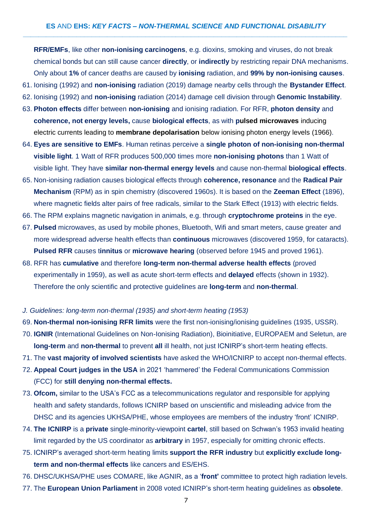**RFR/EMFs**, like other **non-ionising carcinogens**, e.g. dioxins, smoking and viruses, do not break chemical bonds but can still cause cancer **directly**, or **indirectly** by restricting repair DNA mechanisms. Only about **1%** of cancer deaths are caused by **ionising** radiation, and **99% by non-ionising causes**.

- 61. Ionising (1992) and **non-ionising** radiation (2019) damage nearby cells through the **Bystander Effect**.
- 62. Ionising (1992) and **non-ionising** radiation (2014) damage cell division through **Genomic Instability**.
- 63. **Photon effects** differ between **non-ionising** and ionising radiation. For RFR, **photon density** and **coherence, not energy levels,** cause **biological effects**, as with **pulsed microwaves** inducing electric currents leading to **membrane depolarisation** below ionising photon energy levels (1966).
- 64. **Eyes are sensitive to EMFs**. Human retinas perceive a **single photon of non-ionising non-thermal visible light**. 1 Watt of RFR produces 500,000 times more **non-ionising photons** than 1 Watt of visible light. They have **similar non-thermal energy levels** and cause non-thermal **biological effects**.
- 65. Non-ionising radiation causes biological effects through **coherence, resonance** and the **Radical Pair Mechanism** (RPM) as in spin chemistry (discovered 1960s). It is based on the **Zeeman Effect** (1896), where magnetic fields alter pairs of free radicals, similar to the Stark Effect (1913) with electric fields.
- 66. The RPM explains magnetic navigation in animals, e.g. through **cryptochrome proteins** in the eye.
- 67. **Pulsed** microwaves, as used by mobile phones, Bluetooth, Wifi and smart meters, cause greater and more widespread adverse health effects than **continuous** microwaves (discovered 1959, for cataracts). **Pulsed RFR** causes t**innitus** or **microwave hearing** (observed before 1945 and proved 1961).
- 68. RFR has **cumulative** and therefore **long-term non-thermal adverse health effects** (proved experimentally in 1959), as well as acute short-term effects and **delayed** effects (shown in 1932). Therefore the only scientific and protective guidelines are **long-term** and **non-thermal**.

## *J. Guidelines: long-term non-thermal (1935) and short-term heating (1953)*

- 69. **Non-thermal non-ionising RFR limits** were the first non-ionising/ionising guidelines (1935, USSR).
- 70. **IGNIR** (International Guidelines on Non-Ionising Radiation), Bioinitiative, EUROPAEM and Seletun, are **long-term** and **non-thermal** to prevent **all** ill health, not just ICNIRP's short-term heating effects.
- 71. The **vast majority of involved scientists** have asked the WHO/ICNIRP to accept non-thermal effects.
- 72. **Appeal Court judges in the USA** in 2021 'hammered' the Federal Communications Commission (FCC) for **still denying non-thermal effects.**
- 73. **Ofcom,** similar to the USA's FCC as a telecommunications regulator and responsible for applying health and safety standards, follows ICNIRP based on unscientific and misleading advice from the DHSC and its agencies UKHSA/PHE, whose employees are members of the industry 'front' ICNIRP.
- 74. **The ICNIRP** is a **private** single-minority-viewpoint **cartel**, still based on Schwan's 1953 invalid heating limit regarded by the US coordinator as **arbitrary** in 1957, especially for omitting chronic effects.
- 75. ICNIRP's averaged short-term heating limits **support the RFR industry** but **explicitly exclude longterm and non-thermal effects** like cancers and ES/EHS.
- 76. DHSC/UKHSA/PHE uses COMARE, like AGNIR, as a '**front'** committee to protect high radiation levels.
- 77. The **European Union Parliament** in 2008 voted ICNIRP's short-term heating guidelines as **obsolete**.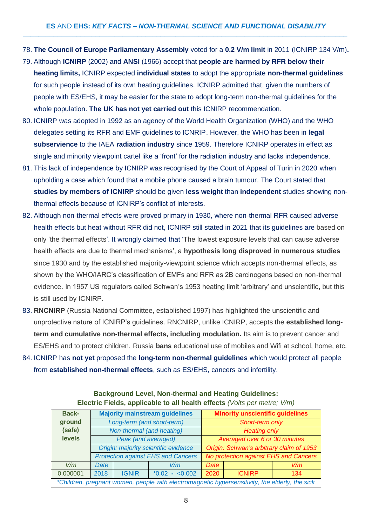- 78. **The Council of Europe Parliamentary Assembly** voted for a **0.2 V/m limit** in 2011 (ICNIRP 134 V/m)**.**
- 79. Although **ICNIRP** (2002) and **ANSI** (1966) accept that **people are harmed by RFR below their heating limits,** ICNIRP expected **individual states** to adopt the appropriate **non-thermal guidelines** for such people instead of its own heating guidelines. ICNIRP admitted that, given the numbers of people with ES/EHS, it may be easier for the state to adopt long-term non-thermal guidelines for the whole population. **The UK has not yet carried out** this ICNIRP recommendation.
- 80. ICNIRP was adopted in 1992 as an agency of the World Health Organization (WHO) and the WHO delegates setting its RFR and EMF guidelines to ICNRIP. However, the WHO has been in **legal subservience** to the IAEA **radiation industry** since 1959. Therefore ICNIRP operates in effect as single and minority viewpoint cartel like a 'front' for the radiation industry and lacks independence.
- 81. This lack of independence by ICNIRP was recognised by the Court of Appeal of Turin in 2020 when upholding a case which found that a mobile phone caused a brain tumour. The Court stated that **studies by members of ICNIRP** should be given **less weight** than **independent** studies showing nonthermal effects because of ICNIRP's conflict of interests.
- 82. Although non-thermal effects were proved primary in 1930, where non-thermal RFR caused adverse health effects but heat without RFR did not, ICNIRP still stated in 2021 that its guidelines are based on only 'the thermal effects'. It wrongly claimed that 'The lowest exposure levels that can cause adverse health effects are due to thermal mechanisms', a **hypothesis long disproved in numerous studies** since 1930 and by the established majority-viewpoint science which accepts non-thermal effects, as shown by the WHO/IARC's classification of EMFs and RFR as 2B carcinogens based on non-thermal evidence. In 1957 US regulators called Schwan's 1953 heating limit 'arbitrary' and unscientific, but this is still used by ICNIRP.
- 83. **RNCNIRP** (Russia National Committee, established 1997) has highlighted the unscientific and unprotective nature of ICNIRP's guidelines. RNCNIRP, unlike ICNIRP, accepts the **established longterm and cumulative non-thermal effects, including modulation.** Its aim is to prevent cancer and ES/EHS and to protect children. Russia **bans** educational use of mobiles and Wifi at school, home, etc.
- 84. ICNIRP has **not yet** proposed the **long-term non-thermal guidelines** which would protect all people from **established non-thermal effects**, such as ES/EHS, cancers and infertility.

| <b>Background Level, Non-thermal and Heating Guidelines:</b><br>Electric Fields, applicable to all health effects (Volts per metre; V/m) |                                       |                           |                                           |                                          |               |     |  |  |  |
|------------------------------------------------------------------------------------------------------------------------------------------|---------------------------------------|---------------------------|-------------------------------------------|------------------------------------------|---------------|-----|--|--|--|
| <b>Back-</b>                                                                                                                             | <b>Majority mainstream guidelines</b> |                           |                                           | <b>Minority unscientific guidelines</b>  |               |     |  |  |  |
| ground                                                                                                                                   |                                       |                           | Long-term (and short-term)                | Short-term only                          |               |     |  |  |  |
| (safe)                                                                                                                                   |                                       | Non-thermal (and heating) |                                           | <b>Heating only</b>                      |               |     |  |  |  |
| <b>levels</b>                                                                                                                            |                                       | Peak (and averaged)       |                                           | Averaged over 6 or 30 minutes            |               |     |  |  |  |
|                                                                                                                                          |                                       |                           | Origin: majority scientific evidence      | Origin: Schwan's arbitrary claim of 1953 |               |     |  |  |  |
|                                                                                                                                          |                                       |                           | <b>Protection against EHS and Cancers</b> | No protection against EHS and Cancers    |               |     |  |  |  |
| V/m                                                                                                                                      | <b>Date</b>                           |                           | V/m                                       | <b>Date</b>                              |               | V/m |  |  |  |
| 0.000001                                                                                                                                 | 2018                                  | <b>IGNIR</b>              | $*0.02 - 0.002$                           | 2020                                     | <b>ICNIRP</b> | 134 |  |  |  |
| *Children, pregnant women, people with electromagnetic hypersensitivity, the elderly, the sick                                           |                                       |                           |                                           |                                          |               |     |  |  |  |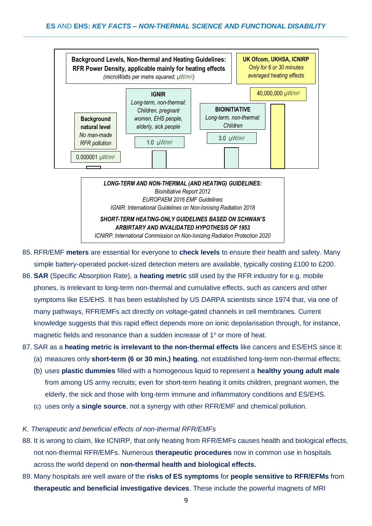

*LONG-TERM AND NON-THERMAL (AND HEATING) GUIDELINES: Bioinitiative Report 2012 EUROPAEM 2016 EMF Guidelines IGNIR: International Guidelines on Non-Ionising Radiation 2018 SHORT-TERM HEATING-ONLY GUIDELINES BASED ON SCHWAN'S* 

*ARBIRTARY AND INVALIDATED HYPOTHESIS OF 1953 ICNIRP: International Commission on Non-Ionizing Radiation Protection 2020*

- 85. RFR/EMF **meters** are essential for everyone to **check levels** to ensure their health and safety. Many simple battery-operated pocket-sized detection meters are available, typically costing £100 to £200.
- 86. **SAR** (Specific Absorption Rate), a **heating metric** still used by the RFR industry for e.g. mobile phones, is irrelevant to long-term non-thermal and cumulative effects, such as cancers and other symptoms like ES/EHS. It has been established by US DARPA scientists since 1974 that, via one of many pathways, RFR/EMFs act directly on voltage-gated channels in cell membranes. Current knowledge suggests that this rapid effect depends more on ionic depolarisation through, for instance, magnetic fields and resonance than a sudden increase of 1° or more of heat.
- 87. SAR as a **heating metric is irrelevant to the non-thermal effects** like cancers and ES/EHS since it:
	- (a) measures only **short-term (6 or 30 min.) heating**, not established long-term non-thermal effects;
	- (b) uses **plastic dummies** filled with a homogenous liquid to represent a **healthy young adult male** from among US army recruits; even for short-term heating it omits children, pregnant women, the elderly, the sick and those with long-term immune and inflammatory conditions and ES/EHS.
	- (c) uses only a **single source**, not a synergy with other RFR/EMF and chemical pollution.

## *K. Therapeutic and beneficial effects of non-thermal RFR/EMFs*

- 88. It is wrong to claim, like ICNIRP, that only heating from RFR/EMFs causes health and biological effects, not non-thermal RFR/EMFs. Numerous **therapeutic procedures** now in common use in hospitals across the world depend on **non-thermal health and biological effects.**
- 89. Many hospitals are well aware of the **risks of ES symptoms** for **people sensitive to RFR/EFMs** from **therapeutic and beneficial investigative devices**. These include the powerful magnets of MRI